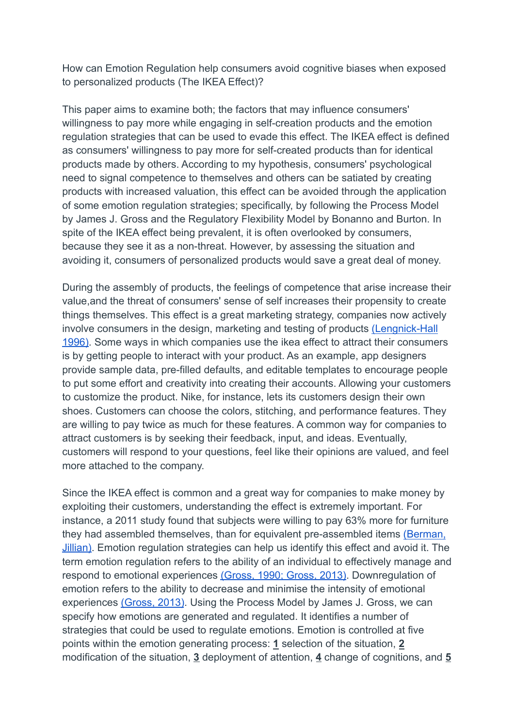How can Emotion Regulation help consumers avoid cognitive biases when exposed to personalized products (The IKEA Effect)?

This paper aims to examine both; the factors that may influence consumers' willingness to pay more while engaging in self-creation products and the emotion regulation strategies that can be used to evade this effect. The IKEA effect is defined as consumers' willingness to pay more for self-created products than for identical products made by others. According to my hypothesis, consumers' psychological need to signal competence to themselves and others can be satiated by creating products with increased valuation, this effect can be avoided through the application of some emotion regulation strategies; specifically, by following the Process Model by James J. Gross and the Regulatory Flexibility Model by Bonanno and Burton. In spite of the IKEA effect being prevalent, it is often overlooked by consumers, because they see it as a non-threat. However, by assessing the situation and avoiding it, consumers of personalized products would save a great deal of money.

During the assembly of products, the feelings of competence that arise increase their value,and the threat of consumers' sense of self increases their propensity to create things themselves. This effect is a great marketing strategy, companies now actively involve consumers in the design, marketing and testing of products [\(Lengnick-Hall](https://doi.org/10.2307/259002) [1996\).](https://doi.org/10.2307/259002) Some ways in which companies use the ikea effect to attract their consumers is by getting people to interact with your product. As an example, app designers provide sample data, pre-filled defaults, and editable templates to encourage people to put some effort and creativity into creating their accounts. Allowing your customers to customize the product. Nike, for instance, lets its customers design their own shoes. Customers can choose the colors, stitching, and performance features. They are willing to pay twice as much for these features. A common way for companies to attract customers is by seeking their feedback, input, and ideas. Eventually, customers will respond to your questions, feel like their opinions are valued, and feel more attached to the company.

Since the IKEA effect is common and a great way for companies to make money by exploiting their customers, understanding the effect is extremely important. For instance, a 2011 study found that subjects were willing to pay 63% more for furniture they had assembled themselves, than for equivalent pre-assembled items [\(Berman,](https://www.huffpost.com/entry/ikea-effect-consumers-study_n_981918) [Jillian\)](https://www.huffpost.com/entry/ikea-effect-consumers-study_n_981918). Emotion regulation strategies can help us identify this effect and avoid it. The term emotion regulation refers to the ability of an individual to effectively manage and respond to emotional experiences [\(Gross, 1990; Gross,](http://dx.doi.org/10.1037/a0032135) 2013). Downregulation of emotion refers to the ability to decrease and minimise the intensity of emotional experiences [\(Gross, 2013\)](http://dx.doi.org/10.1037/a0032135). Using the Process Model by James J. Gross, we can specify how emotions are generated and regulated. It identifies a number of strategies that could be used to regulate emotions. Emotion is controlled at five points within the emotion generating process: **1** selection of the situation, **2** modification of the situation, **3** deployment of attention, **4** change of cognitions, and **5**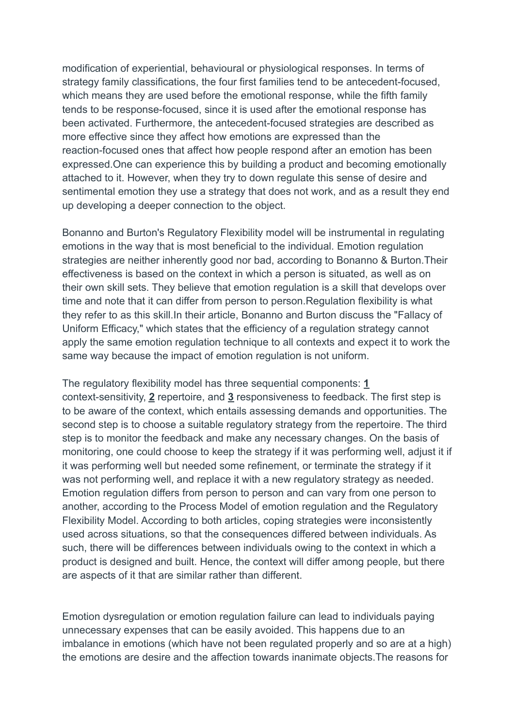modification of experiential, behavioural or physiological responses. In terms of strategy family classifications, the four first families tend to be antecedent-focused, which means they are used before the emotional response, while the fifth family tends to be response-focused, since it is used after the emotional response has been activated. Furthermore, the antecedent-focused strategies are described as more effective since they affect how emotions are expressed than the reaction-focused ones that affect how people respond after an emotion has been expressed.One can experience this by building a product and becoming emotionally attached to it. However, when they try to down regulate this sense of desire and sentimental emotion they use a strategy that does not work, and as a result they end up developing a deeper connection to the object.

Bonanno and Burton's Regulatory Flexibility model will be instrumental in regulating emotions in the way that is most beneficial to the individual. Emotion regulation strategies are neither inherently good nor bad, according to Bonanno & Burton.Their effectiveness is based on the context in which a person is situated, as well as on their own skill sets. They believe that emotion regulation is a skill that develops over time and note that it can differ from person to person.Regulation flexibility is what they refer to as this skill.In their article, Bonanno and Burton discuss the "Fallacy of Uniform Efficacy," which states that the efficiency of a regulation strategy cannot apply the same emotion regulation technique to all contexts and expect it to work the same way because the impact of emotion regulation is not uniform.

The regulatory flexibility model has three sequential components: **1** context-sensitivity, **2** repertoire, and **3** responsiveness to feedback. The first step is to be aware of the context, which entails assessing demands and opportunities. The second step is to choose a suitable regulatory strategy from the repertoire. The third step is to monitor the feedback and make any necessary changes. On the basis of monitoring, one could choose to keep the strategy if it was performing well, adjust it if it was performing well but needed some refinement, or terminate the strategy if it was not performing well, and replace it with a new regulatory strategy as needed. Emotion regulation differs from person to person and can vary from one person to another, according to the Process Model of emotion regulation and the Regulatory Flexibility Model. According to both articles, coping strategies were inconsistently used across situations, so that the consequences differed between individuals. As such, there will be differences between individuals owing to the context in which a product is designed and built. Hence, the context will differ among people, but there are aspects of it that are similar rather than different.

Emotion dysregulation or emotion regulation failure can lead to individuals paying unnecessary expenses that can be easily avoided. This happens due to an imbalance in emotions (which have not been regulated properly and so are at a high) the emotions are desire and the affection towards inanimate objects.The reasons for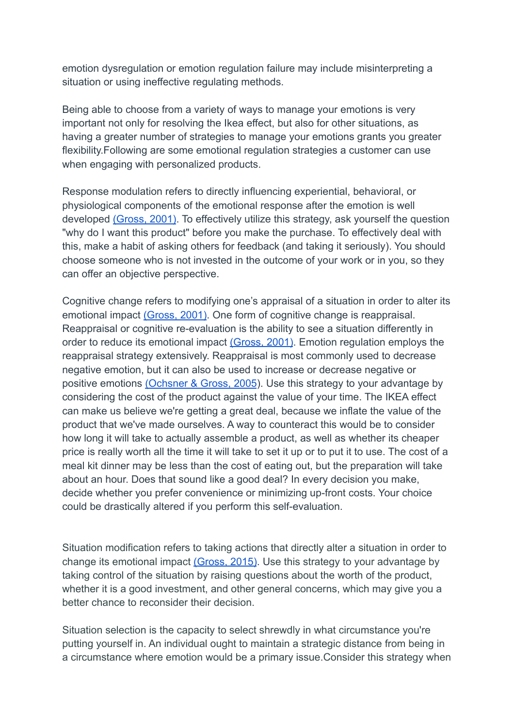emotion dysregulation or emotion regulation failure may include misinterpreting a situation or using ineffective regulating methods.

Being able to choose from a variety of ways to manage your emotions is very important not only for resolving the Ikea effect, but also for other situations, as having a greater number of strategies to manage your emotions grants you greater flexibility.Following are some emotional regulation strategies a customer can use when engaging with personalized products.

Response modulation refers to directly influencing experiential, behavioral, or physiological components of the emotional response after the emotion is well developed [\(Gross, 2001\)](https://sci-hub.st/10.1111/1467-8721.00152). To effectively utilize this strategy, ask yourself the question "why do I want this product" before you make the purchase. To effectively deal with this, make a habit of asking others for feedback (and taking it seriously). You should choose someone who is not invested in the outcome of your work or in you, so they can offer an objective perspective.

Cognitive change refers to modifying one's appraisal of a situation in order to alter its emotional impact [\(Gross, 2001\)](https://sci-hub.st/10.1111/1467-8721.00152). One form of cognitive change is reappraisal. Reappraisal or cognitive re-evaluation is the ability to see a situation differently in order to reduce its emotional impact [\(Gross, 2001\)](https://sci-hub.st/10.1111/1467-8721.00152). Emotion regulation employs the reappraisal strategy extensively. Reappraisal is most commonly used to decrease negative emotion, but it can also be used to increase or decrease negative or positive emotions [\(Ochsner & Gross, 2005](https://sci-hub.st/10.1016/j.tics.2005.03.010)). Use this strategy to your advantage by considering the cost of the product against the value of your time. The IKEA effect can make us believe we're getting a great deal, because we inflate the value of the product that we've made ourselves. A way to counteract this would be to consider how long it will take to actually assemble a product, as well as whether its cheaper price is really worth all the time it will take to set it up or to put it to use. The cost of a meal kit dinner may be less than the cost of eating out, but the preparation will take about an hour. Does that sound like a good deal? In every decision you make, decide whether you prefer convenience or minimizing up-front costs. Your choice could be drastically altered if you perform this self-evaluation.

Situation modification refers to taking actions that directly alter a situation in order to change its emotional impact [\(Gross, 2015\)](http://dx.doi.org/10.1080/1047840X.2014.940781). Use this strategy to your advantage by taking control of the situation by raising questions about the worth of the product, whether it is a good investment, and other general concerns, which may give you a better chance to reconsider their decision.

Situation selection is the capacity to select shrewdly in what circumstance you're putting yourself in. An individual ought to maintain a strategic distance from being in a circumstance where emotion would be a primary issue.Consider this strategy when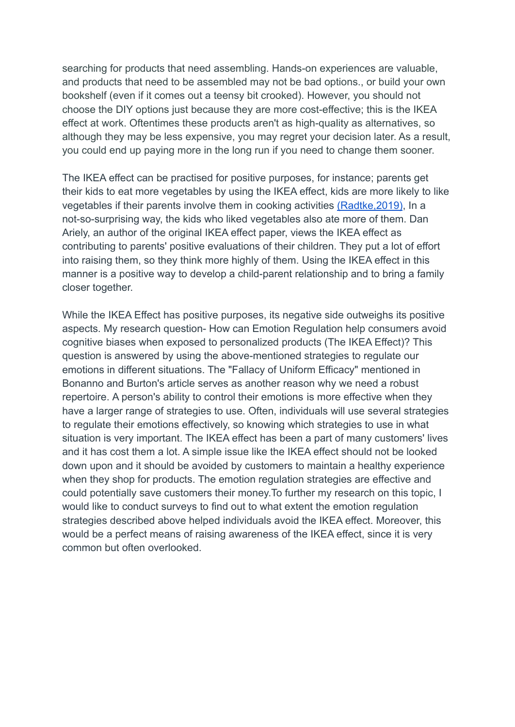searching for products that need assembling. Hands-on experiences are valuable, and products that need to be assembled may not be bad options., or build your own bookshelf (even if it comes out a teensy bit crooked). However, you should not choose the DIY options just because they are more cost-effective; this is the IKEA effect at work. Oftentimes these products aren't as high-quality as alternatives, so although they may be less expensive, you may regret your decision later. As a result, you could end up paying more in the long run if you need to change them sooner.

The IKEA effect can be practised for positive purposes, for instance; parents get their kids to eat more vegetables by using the IKEA effect, kids are more likely to like vegetables if their parents involve them in cooking activities [\(Radtke,2019\)](https://doi.org/10.1111/bjhp.12385), In a not-so-surprising way, the kids who liked vegetables also ate more of them. Dan Ariely, an author of the original IKEA effect paper, views the IKEA effect as contributing to parents' positive evaluations of their children. They put a lot of effort into raising them, so they think more highly of them. Using the IKEA effect in this manner is a positive way to develop a child-parent relationship and to bring a family closer together.

While the IKEA Effect has positive purposes, its negative side outweighs its positive aspects. My research question- How can Emotion Regulation help consumers avoid cognitive biases when exposed to personalized products (The IKEA Effect)? This question is answered by using the above-mentioned strategies to regulate our emotions in different situations. The "Fallacy of Uniform Efficacy" mentioned in Bonanno and Burton's article serves as another reason why we need a robust repertoire. A person's ability to control their emotions is more effective when they have a larger range of strategies to use. Often, individuals will use several strategies to regulate their emotions effectively, so knowing which strategies to use in what situation is very important. The IKEA effect has been a part of many customers' lives and it has cost them a lot. A simple issue like the IKEA effect should not be looked down upon and it should be avoided by customers to maintain a healthy experience when they shop for products. The emotion regulation strategies are effective and could potentially save customers their money.To further my research on this topic, I would like to conduct surveys to find out to what extent the emotion regulation strategies described above helped individuals avoid the IKEA effect. Moreover, this would be a perfect means of raising awareness of the IKEA effect, since it is very common but often overlooked.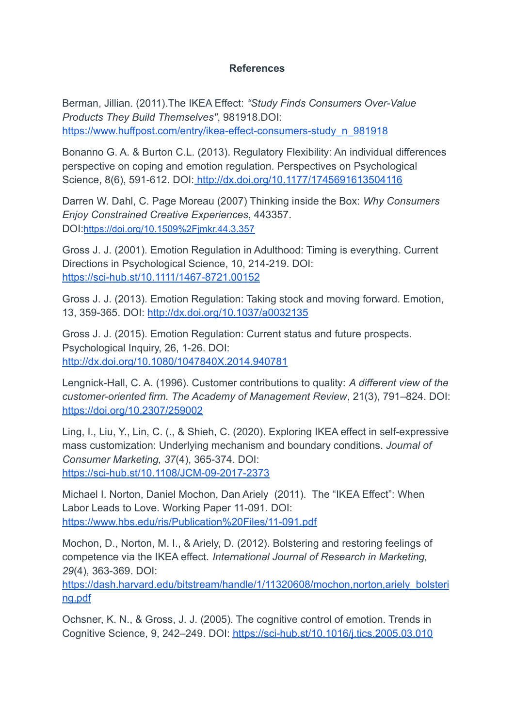## **References**

Berman, Jillian. (2011).The IKEA Effect: *"Study Finds Consumers Over-Value Products They Build Themselves"*, 981918.DOI: [https://www.huffpost.com/entry/ikea-effect-consumers-study\\_n\\_981918](https://www.huffpost.com/entry/ikea-effect-consumers-study_n_981918)

Bonanno G. A. & Burton C.L. (2013). Regulatory Flexibility: An individual differences perspective on coping and emotion regulation. Perspectives on Psychological Science, 8(6), 591-612. DOI: <http://dx.doi.org/10.1177/1745691613504116>

Darren W. Dahl, C. Page Moreau (2007) Thinking inside the Box: *Why Consumers Enjoy Constrained Creative Experiences*, 443357. DOI:<https://doi.org/10.1509%2Fjmkr.44.3.357>

Gross J. J. (2001). Emotion Regulation in Adulthood: Timing is everything. Current Directions in Psychological Science, 10, 214-219. DOI: <https://sci-hub.st/10.1111/1467-8721.00152>

Gross J. J. (2013). Emotion Regulation: Taking stock and moving forward. Emotion, 13, 359-365. DOI: <http://dx.doi.org/10.1037/a0032135>

Gross J. J. (2015). Emotion Regulation: Current status and future prospects. Psychological Inquiry, 26, 1-26. DOI: <http://dx.doi.org/10.1080/1047840X.2014.940781>

Lengnick-Hall, C. A. (1996). Customer contributions to quality: *A different view of the customer-oriented firm. The Academy of Management Review*, 21(3), 791–824. DOI: <https://doi.org/10.2307/259002>

Ling, I., Liu, Y., Lin, C. (., & Shieh, C. (2020). Exploring IKEA effect in self-expressive mass customization: Underlying mechanism and boundary conditions. *Journal of Consumer Marketing, 37*(4), 365-374. DOI: <https://sci-hub.st/10.1108/JCM-09-2017-2373>

Michael I. Norton, Daniel Mochon, Dan Ariely (2011). The "IKEA Effect": When Labor Leads to Love. Working Paper 11-091. DOI: <https://www.hbs.edu/ris/Publication%20Files/11-091.pdf>

Mochon, D., Norton, M. I., & Ariely, D. (2012). Bolstering and restoring feelings of competence via the IKEA effect. *International Journal of Research in Marketing, 29*(4), 363-369. DOI:

[https://dash.harvard.edu/bitstream/handle/1/11320608/mochon,norton,ariely\\_bolsteri](https://dash.harvard.edu/bitstream/handle/1/11320608/mochon,norton,ariely_bolstering.pdf) [ng.pdf](https://dash.harvard.edu/bitstream/handle/1/11320608/mochon,norton,ariely_bolstering.pdf)

Ochsner, K. N., & Gross, J. J. (2005). The cognitive control of emotion. Trends in Cognitive Science, 9, 242–249. DOI: <https://sci-hub.st/10.1016/j.tics.2005.03.010>